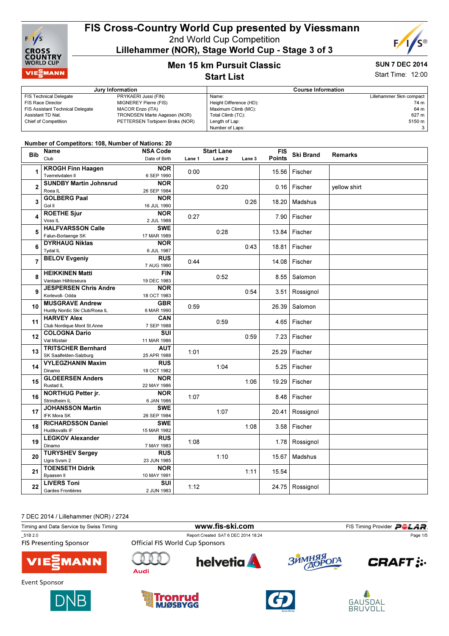

# FIS Cross-Country World Cup presented by Viessmann

2nd World Cup Competition

Lillehammer (NOR), Stage World Cup - Stage 3 of 3



## $S$ UN 7 DEC

Men 15 km Pursuit Classic Start List

|  | <b>SUN / DEV ZUI4</b>    |
|--|--------------------------|
|  | <b>Start Time: 12:00</b> |

#### **Jury Information** Course Information FIS Technical Delegate PRYKAERI Jussi (FIN) FIS Race Director MIGNEREY Pierre (FIS) FIS Assistant Technical Delegate MACOR Enzo (ITA) Assistant TD Nat. TRONDSEN Marte Aagesen (NOR) Chief of Competition PETTERSEN Torbjoern Broks (NOR) Name: Lillehammer 5km compact Height Difference (HD): 74 m Maximum Climb (MC): 64 m<br>Total Climb (TC): 657 m Total Climb (TC): Length of Lap: 5150 m Number of Laps: 3

#### Number of Competitors: 108, Number of Nations: 20

| <b>Bib</b>     | Name                           | <b>NSA Code</b> |        | <b>Start Lane</b> |        | <b>FIS</b> | <b>Ski Brand</b> | <b>Remarks</b> |
|----------------|--------------------------------|-----------------|--------|-------------------|--------|------------|------------------|----------------|
|                | Club                           | Date of Birth   | Lane 1 | Lane <sub>2</sub> | Lane 3 | Points     |                  |                |
|                | <b>KROGH Finn Haagen</b>       | <b>NOR</b>      |        |                   |        |            |                  |                |
| 1              | Tverrelvdalen II               | 6 SEP 1990      | 0:00   |                   |        | 15.56      | Fischer          |                |
|                | <b>SUNDBY Martin Johnsrud</b>  | <b>NOR</b>      |        |                   |        |            |                  |                |
| $\overline{2}$ | Roea IL                        | 26 SEP 1984     |        | 0:20              |        |            | 0.16 Fischer     | yellow shirt   |
|                | <b>GOLBERG Paal</b>            | <b>NOR</b>      |        |                   |        |            |                  |                |
| 3              | Gol II                         | 16 JUL 1990     |        |                   | 0:26   | 18.20      | Madshus          |                |
|                | <b>ROETHE Sjur</b>             | <b>NOR</b>      |        |                   |        |            |                  |                |
| 4              | Voss <sub>IL</sub>             |                 | 0:27   |                   |        | 7.90       | Fischer          |                |
|                |                                | 2 JUL 1988      |        |                   |        |            |                  |                |
| 5              | <b>HALFVARSSON Calle</b>       | <b>SWE</b>      |        | 0:28              |        | 13.84      | Fischer          |                |
|                | Falun-Borlaenge SK             | 17 MAR 1989     |        |                   |        |            |                  |                |
| 6              | <b>DYRHAUG Niklas</b>          | <b>NOR</b>      |        |                   | 0:43   | 18.81      | Fischer          |                |
|                | Tydal IL                       | 6 JUL 1987      |        |                   |        |            |                  |                |
| $\overline{7}$ | <b>BELOV Evgeniy</b>           | <b>RUS</b>      | 0:44   |                   |        | 14.08      | Fischer          |                |
|                |                                | 7 AUG 1990      |        |                   |        |            |                  |                |
| 8              | <b>HEIKKINEN Matti</b>         | <b>FIN</b>      |        | 0:52              |        | 8.55       | Salomon          |                |
|                | Vantaan Hiihtoseura            | 19 DEC 1983     |        |                   |        |            |                  |                |
| 9              | <b>JESPERSEN Chris Andre</b>   | <b>NOR</b>      |        |                   | 0:54   | 3.51       | Rossignol        |                |
|                | Korlevoll- Odda                | 18 OCT 1983     |        |                   |        |            |                  |                |
| 10             | <b>MUSGRAVE Andrew</b>         | <b>GBR</b>      | 0:59   |                   |        | 26.39      | Salomon          |                |
|                | Huntly Nordic Ski Club/Roea IL | 6 MAR 1990      |        |                   |        |            |                  |                |
| 11             | <b>HARVEY Alex</b>             | CAN             |        | 0:59              |        |            | 4.65   Fischer   |                |
|                | Club Nordique Mont St.Anne     | 7 SEP 1988      |        |                   |        |            |                  |                |
| 12             | <b>COLOGNA Dario</b>           | SUI             |        |                   | 0:59   | 7.23       | Fischer          |                |
|                | Val Müstair                    | 11 MAR 1986     |        |                   |        |            |                  |                |
| 13             | <b>TRITSCHER Bernhard</b>      | <b>AUT</b>      | 1:01   |                   |        | 25.29      | Fischer          |                |
|                | SK Saalfelden-Salzburg         | 25 APR 1988     |        |                   |        |            |                  |                |
|                | <b>VYLEGZHANIN Maxim</b>       | <b>RUS</b>      |        |                   |        |            |                  |                |
| 14             | Dinamo                         | 18 OCT 1982     |        | 1:04              |        |            | 5.25   Fischer   |                |
|                | <b>GLOEERSEN Anders</b>        | <b>NOR</b>      |        |                   |        |            |                  |                |
| 15             | Rustad IL                      | 22 MAY 1986     |        |                   | 1:06   | 19.29      | Fischer          |                |
|                | <b>NORTHUG Petter jr.</b>      | <b>NOR</b>      |        |                   |        |            |                  |                |
| 16             | Strindheim IL                  | 6 JAN 1986      | 1:07   |                   |        |            | 8.48 Fischer     |                |
|                | <b>JOHANSSON Martin</b>        | <b>SWE</b>      |        |                   |        |            |                  |                |
| 17             | <b>IFK Mora SK</b>             | 26 SEP 1984     |        | 1:07              |        | 20.41      | Rossignol        |                |
|                | <b>RICHARDSSON Daniel</b>      | <b>SWE</b>      |        |                   |        |            |                  |                |
| 18             | Hudiksvalls IF                 | 15 MAR 1982     |        |                   | 1:08   |            | 3.58   Fischer   |                |
|                | <b>LEGKOV Alexander</b>        | <b>RUS</b>      |        |                   |        |            |                  |                |
| 19             | Dinamo                         | 7 MAY 1983      | 1:08   |                   |        |            | 1.78   Rossignol |                |
|                | <b>TURYSHEV Sergey</b>         | <b>RUS</b>      |        |                   |        |            |                  |                |
| 20             | Ugra Svsm 2                    | 23 JUN 1985     |        | 1:10              |        | 15.67      | Madshus          |                |
|                | <b>TOENSETH Didrik</b>         | <b>NOR</b>      |        |                   |        |            |                  |                |
| 21             | Byaasen II                     | 10 MAY 1991     |        |                   | 1:11   | 15.54      |                  |                |
|                | <b>LIVERS Toni</b>             | SUI             |        |                   |        |            |                  |                |
| 22             | Gardes Frontières              | 2 JUN 1983      | 1:12   |                   |        |            | 24.75 Rossignol  |                |
|                |                                |                 |        |                   |        |            |                  |                |

7 DEC 2014 / Lillehammer (NOR) / 2724

Timing and Data Service by Swiss Timing **WWW.fis-Ski.com** FIS Timing Provider PCLAR. \_51B 2.0 Report Created SAT 6 DEC 2014 18:24 Page 1/5**FIS Presenting Sponsor Official FIS World Cup Sponsors** ЗЙМНЯЯ helvetia **A**  $O<sub>Gamma</sub>$ **MANI CRAFT :..** Audi **Event Sponsor** 







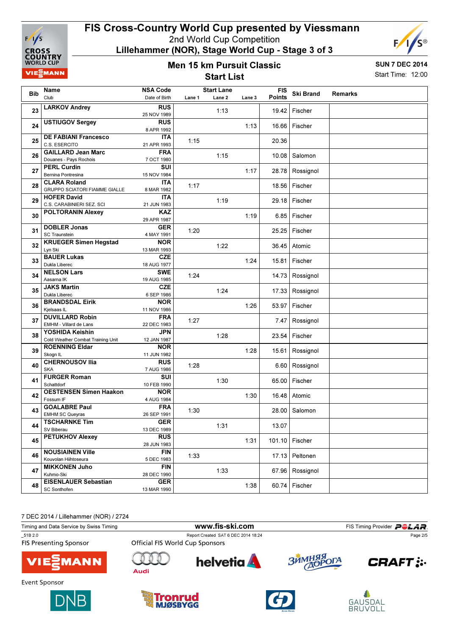

Lillehammer (NOR), Stage World Cup - Stage 3 of 3

#### Men 15 km Pursuit Classic Start List



Start Time: 12:00

| Bib | Name<br>Club                                                | <b>NSA Code</b><br>Date of Birth | Lane 1 | <b>Start Lane</b><br>Lane 2 | Lane 3 | <b>FIS</b><br><b>Points</b> | <b>Ski Brand</b> | Remarks |
|-----|-------------------------------------------------------------|----------------------------------|--------|-----------------------------|--------|-----------------------------|------------------|---------|
| 23  | <b>LARKOV Andrey</b>                                        | <b>RUS</b><br>25 NOV 1989        |        | 1:13                        |        |                             | 19.42 Fischer    |         |
| 24  | <b>USTIUGOV Sergey</b>                                      | <b>RUS</b><br>8 APR 1992         |        |                             | 1:13   |                             | 16.66 Fischer    |         |
| 25  | <b>DE FABIANI Francesco</b><br>C.S. ESERCITO                | <b>ITA</b><br>21 APR 1993        | 1:15   |                             |        | 20.36                       |                  |         |
| 26  | <b>GAILLARD Jean Marc</b><br>Douanes - Pays Rochois         | <b>FRA</b><br>7 OCT 1980         |        | 1:15                        |        | 10.08                       | Salomon          |         |
| 27  | <b>PERL Curdin</b><br>Bernina Pontresina                    | SUI<br>15 NOV 1984               |        |                             | 1:17   | 28.78                       | Rossignol        |         |
| 28  | <b>CLARA Roland</b><br><b>GRUPPO SCIATORI FIAMME GIALLE</b> | <b>ITA</b><br>8 MAR 1982         | 1:17   |                             |        | 18.56                       | Fischer          |         |
| 29  | <b>HOFER David</b><br>C.S. CARABINIERI SEZ. SCI             | <b>ITA</b><br>21 JUN 1983        |        | 1:19                        |        |                             | 29.18 Fischer    |         |
| 30  | <b>POLTORANIN Alexey</b>                                    | <b>KAZ</b><br>29 APR 1987        |        |                             | 1:19   |                             | 6.85   Fischer   |         |
| 31  | <b>DOBLER Jonas</b><br><b>SC Traunstein</b>                 | <b>GER</b><br>4 MAY 1991         | 1:20   |                             |        | 25.25                       | Fischer          |         |
| 32  | <b>KRUEGER Simen Hegstad</b><br>Lyn Ski                     | <b>NOR</b><br>13 MAR 1993        |        | 1:22                        |        |                             | 36.45 Atomic     |         |
| 33  | <b>BAUER Lukas</b><br>Dukla Liberec                         | <b>CZE</b><br>18 AUG 1977        |        |                             | 1:24   | 15.81                       | Fischer          |         |
| 34  | <b>NELSON Lars</b><br>Aasama IK                             | <b>SWE</b><br>19 AUG 1985        | 1:24   |                             |        |                             | 14.73 Rossignol  |         |
| 35  | <b>JAKS Martin</b><br>Dukla Liberec                         | <b>CZE</b><br>6 SEP 1986         |        | 1:24                        |        |                             | 17.33 Rossignol  |         |
| 36  | <b>BRANDSDAL Eirik</b><br>Kjelsaas IL                       | <b>NOR</b><br>11 NOV 1986        |        |                             | 1:26   | 53.97                       | Fischer          |         |
| 37  | <b>DUVILLARD Robin</b><br>EMHM - Villard de Lans            | <b>FRA</b><br>22 DEC 1983        | 1:27   |                             |        | 7.47                        | Rossignol        |         |
| 38  | YOSHIDA Keishin<br>Cold Weather Combat Training Unit        | <b>JPN</b><br>12 JAN 1987        |        | 1:28                        |        | 23.54                       | Fischer          |         |
| 39  | <b>ROENNING Eldar</b><br>Skogn IL                           | <b>NOR</b><br>11 JUN 1982        |        |                             | 1:28   |                             | 15.61 Rossignol  |         |
| 40  | <b>CHERNOUSOV Ilia</b><br><b>SKA</b>                        | <b>RUS</b><br>7 AUG 1986         | 1:28   |                             |        | 6.60                        | Rossignol        |         |
| 41  | <b>FURGER Roman</b><br>Schattdorf                           | SUI<br>10 FEB 1990               |        | 1:30                        |        | 65.00                       | Fischer          |         |
| 42  | <b>OESTENSEN Simen Haakon</b><br>Fossum IF                  | <b>NOR</b><br>4 AUG 1984         |        |                             | 1:30   |                             | 16.48 Atomic     |         |
| 43  | <b>GOALABRE Paul</b><br><b>EMHM SC Queyras</b>              | <b>FRA</b><br>26 SEP 1991        | 1:30   |                             |        | 28.00                       | Salomon          |         |
| 44  | <b>TSCHARNKE Tim</b><br>SV Biberau                          | <b>GER</b><br>13 DEC 1989        |        | 1:31                        |        | 13.07                       |                  |         |
| 45  | <b>PETUKHOV Alexey</b>                                      | <b>RUS</b><br>28 JUN 1983        |        |                             | 1:31   |                             | 101.10 Fischer   |         |
| 46  | <b>NOUSIAINEN Ville</b><br>Kouvolan Hiihtoseura             | <b>FIN</b><br>5 DEC 1983         | 1:33   |                             |        | 17.13                       | Peltonen         |         |
| 47  | <b>MIKKONEN Juho</b><br>Kuhmo-Ski                           | <b>FIN</b><br>28 DEC 1990        |        | 1:33                        |        |                             | 67.96 Rossignol  |         |
| 48  | <b>EISENLAUER Sebastian</b><br><b>SC Sonthofen</b>          | <b>GER</b><br>13 MAR 1990        |        |                             | 1:38   |                             | 60.74 Fischer    |         |
|     |                                                             |                                  |        |                             |        |                             |                  |         |

7 DEC 2014 / Lillehammer (NOR) / 2724

| Timing and Data Service by Swiss Timing  |                                        | www.fis-ski.com                     |            | FIS Timing Provider <b>POLAR</b> . |
|------------------------------------------|----------------------------------------|-------------------------------------|------------|------------------------------------|
| 51B 2.0<br><b>FIS Presenting Sponsor</b> | <b>Official FIS World Cup Sponsors</b> | Report Created SAT 6 DEC 2014 18:24 |            | Page 2/5                           |
| <b>VIESMANN</b>                          | Audi                                   | <b>helvetia</b>                     | ЗЙМНЯЯ ОГА | <b>CRAFT:</b>                      |
| Event Sponsor                            |                                        |                                     |            |                                    |







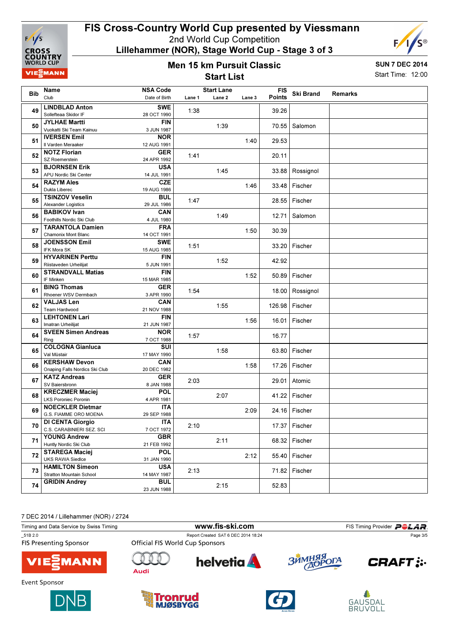

Lillehammer (NOR), Stage World Cup - Stage 3 of 3

#### Men 15 km Pursuit Classic Start List



SUN 7 DEC 2014 Start Time: 12:00

|     | Name                                               | <b>NSA Code</b>           |        | <b>Start Lane</b> |        | <b>FIS</b>    |                   |         |
|-----|----------------------------------------------------|---------------------------|--------|-------------------|--------|---------------|-------------------|---------|
| Bib | Club                                               | Date of Birth             | Lane 1 | Lane 2            | Lane 3 | <b>Points</b> | <b>Ski Brand</b>  | Remarks |
|     | <b>LINDBLAD Anton</b>                              | <b>SWE</b>                |        |                   |        |               |                   |         |
| 49  | Sollefteaa Skidor IF                               | 28 OCT 1990               | 1:38   |                   |        | 39.26         |                   |         |
| 50  | <b>JYLHAE Martti</b>                               | <b>FIN</b>                |        | 1:39              |        | 70.55         | Salomon           |         |
|     | Vuokatti Ski Team Kainuu                           | 3 JUN 1987                |        |                   |        |               |                   |         |
| 51  | <b>IVERSEN Emil</b>                                | <b>NOR</b>                |        |                   | 1:40   | 29.53         |                   |         |
|     | Il Varden Meraaker                                 | 12 AUG 1991               |        |                   |        |               |                   |         |
| 52  | <b>NOTZ Florian</b>                                | <b>GER</b>                | 1:41   |                   |        | 20.11         |                   |         |
|     | SZ Roemerstein<br><b>BJORNSEN Erik</b>             | 24 APR 1992<br><b>USA</b> |        |                   |        |               |                   |         |
| 53  | APU Nordic Ski Center                              | 14 JUL 1991               |        | 1:45              |        |               | 33.88 Rossignol   |         |
|     | <b>RAZYM Ales</b>                                  | <b>CZE</b>                |        |                   |        |               |                   |         |
| 54  | Dukla Liberec                                      | 19 AUG 1986               |        |                   | 1:46   |               | 33.48 Fischer     |         |
|     | <b>TSINZOV Veselin</b>                             | <b>BUL</b>                |        |                   |        |               |                   |         |
| 55  | <b>Alexander Logistics</b>                         | 29 JUL 1986               | 1:47   |                   |        |               | 28.55   Fischer   |         |
| 56  | <b>BABIKOV Ivan</b>                                | <b>CAN</b>                |        | 1:49              |        | 12.71         | Salomon           |         |
|     | Foothills Nordic Ski Club                          | 4 JUL 1980                |        |                   |        |               |                   |         |
| 57  | <b>TARANTOLA Damien</b>                            | <b>FRA</b>                |        |                   | 1:50   | 30.39         |                   |         |
|     | <b>Chamonix Mont Blanc</b>                         | 14 OCT 1991               |        |                   |        |               |                   |         |
| 58  | <b>JOENSSON Emil</b>                               | <b>SWE</b>                | 1:51   |                   |        |               | 33.20 Fischer     |         |
|     | <b>IFK Mora SK</b>                                 | 15 AUG 1985               |        |                   |        |               |                   |         |
| 59  | <b>HYVARINEN Perttu</b>                            | FIN                       |        | 1:52              |        | 42.92         |                   |         |
|     | Riistaveden Urheilijat<br><b>STRANDVALL Matias</b> | 5 JUN 1991<br><b>FIN</b>  |        |                   |        |               |                   |         |
| 60  | IF Minken                                          | 15 MAR 1985               |        |                   | 1:52   |               | 50.89   Fischer   |         |
| 61  | <b>BING Thomas</b>                                 | <b>GER</b>                |        |                   |        |               |                   |         |
|     | Rhoener WSV Dermbach                               | 3 APR 1990                | 1:54   |                   |        |               | 18.00   Rossignol |         |
|     | <b>VALJAS Len</b>                                  | CAN                       |        |                   |        |               |                   |         |
| 62  | Team Hardwood                                      | 21 NOV 1988               |        | 1:55              |        | 126.98        | Fischer           |         |
| 63  | <b>LEHTONEN Lari</b>                               | <b>FIN</b>                |        |                   | 1:56   |               | 16.01 Fischer     |         |
|     | Imatran Urheilijat                                 | 21 JUN 1987               |        |                   |        |               |                   |         |
| 64  | <b>SVEEN Simen Andreas</b>                         | <b>NOR</b>                | 1:57   |                   |        | 16.77         |                   |         |
|     | Ring                                               | 7 OCT 1988                |        |                   |        |               |                   |         |
| 65  | <b>COLOGNA Gianluca</b>                            | SUI                       |        | 1:58              |        |               | 63.80 Fischer     |         |
|     | Val Müstair<br><b>KERSHAW Devon</b>                | 17 MAY 1990               |        |                   |        |               |                   |         |
| 66  | Onaping Falls Nordics Ski Club                     | <b>CAN</b><br>20 DEC 1982 |        |                   | 1:58   |               | 17.26   Fischer   |         |
|     | <b>KATZ Andreas</b>                                | <b>GER</b>                |        |                   |        |               |                   |         |
| 67  | SV Baiersbronn                                     | 8 JAN 1988                | 2:03   |                   |        |               | 29.01 Atomic      |         |
|     | <b>KRECZMER Maciej</b>                             | <b>POL</b>                |        |                   |        |               |                   |         |
| 68  | <b>LKS Poroniec Poronin</b>                        | 4 APR 1981                |        | 2:07              |        |               | 41.22 Fischer     |         |
|     | <b>NOECKLER Dietmar</b>                            | <b>ITA</b>                |        |                   |        |               |                   |         |
| 69  | G.S. FIAMME ORO MOENA                              | 29 SEP 1988               |        |                   | 2:09   |               | 24.16 Fischer     |         |
| 70  | <b>DI CENTA Giorgio</b>                            | <b>ITA</b>                | 2:10   |                   |        |               | 17.37 Fischer     |         |
|     | C.S. CARABINIERI SEZ. SCI                          | 7 OCT 1972                |        |                   |        |               |                   |         |
| 71  | <b>YOUNG Andrew</b>                                | <b>GBR</b>                |        | 2:11              |        |               | 68.32 Fischer     |         |
|     | Huntly Nordic Ski Club                             | 21 FEB 1992               |        |                   |        |               |                   |         |
| 72  | <b>STAREGA Maciej</b>                              | <b>POL</b>                |        |                   | 2:12   |               | 55.40 Fischer     |         |
|     | <b>UKS RAWA Siedlce</b><br><b>HAMILTON Simeon</b>  | 31 JAN 1990<br><b>USA</b> |        |                   |        |               |                   |         |
| 73  | <b>Stratton Mountain School</b>                    | 14 MAY 1987               | 2:13   |                   |        |               | 71.82 Fischer     |         |
|     | <b>GRIDIN Andrey</b>                               | <b>BUL</b>                |        |                   |        |               |                   |         |
| 74  |                                                    | 23 JUN 1988               |        | 2:15              |        | 52.83         |                   |         |
|     |                                                    |                           |        |                   |        |               |                   |         |

7 DEC 2014 / Lillehammer (NOR) / 2724

| $1 + 1 + 1 = 1$                          |                                        |                                     |            |                                    |  |  |
|------------------------------------------|----------------------------------------|-------------------------------------|------------|------------------------------------|--|--|
| Timing and Data Service by Swiss Timing  |                                        | www.fis-ski.com                     |            | FIS Timing Provider <b>POLAR</b> . |  |  |
| 51B 2.0<br><b>FIS Presenting Sponsor</b> | <b>Official FIS World Cup Sponsors</b> | Report Created SAT 6 DEC 2014 18:24 |            | Page 3/5                           |  |  |
| <b>VIESMANN</b>                          | Audi                                   | <b>helvetia</b>                     | ЗЙМНЯЯ ОГА | <b>CRAFT</b> :                     |  |  |
| Event Sponsor                            |                                        |                                     |            |                                    |  |  |
|                                          |                                        |                                     |            |                                    |  |  |







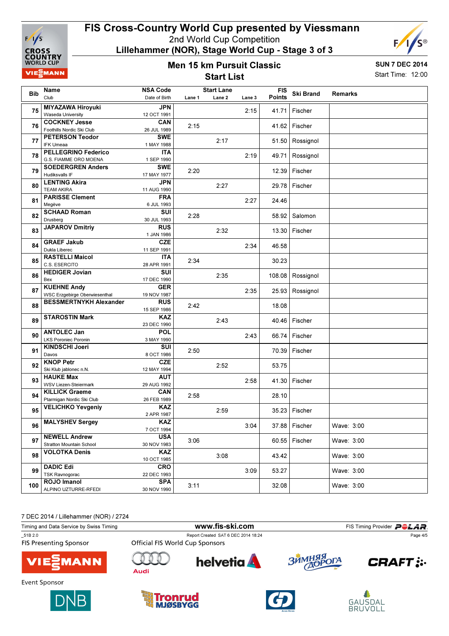

Lillehammer (NOR), Stage World Cup - Stage 3 of 3

#### Men 15 km Pursuit Classic Start List



SUN 7 DEC 2014 Start Time: 12:00

| <b>Bib</b> | <b>Name</b>                                       | <b>NSA Code</b>          |        | <b>Start Lane</b> |        | <b>FIS</b>    | <b>Ski Brand</b> | <b>Remarks</b> |
|------------|---------------------------------------------------|--------------------------|--------|-------------------|--------|---------------|------------------|----------------|
|            | Club                                              | Date of Birth            | Lane 1 | Lane 2            | Lane 3 | <b>Points</b> |                  |                |
| 75         | <b>MIYAZAWA Hiroyuki</b>                          | <b>JPN</b>               |        |                   | 2:15   | 41.71         | Fischer          |                |
|            | Waseda University                                 | 12 OCT 1991              |        |                   |        |               |                  |                |
| 76         | <b>COCKNEY Jesse</b><br>Foothills Nordic Ski Club | CAN<br>26 JUL 1989       | 2:15   |                   |        |               | 41.62 Fischer    |                |
|            | <b>PETERSON Teodor</b>                            | <b>SWE</b>               |        |                   |        |               |                  |                |
| 77         | <b>IFK Umeaa</b>                                  | 1 MAY 1988               |        | 2:17              |        |               | 51.50 Rossignol  |                |
|            | <b>PELLEGRINO Federico</b>                        | <b>ITA</b>               |        |                   |        |               |                  |                |
| 78         | G.S. FIAMME ORO MOENA                             | 1 SEP 1990               |        |                   | 2:19   | 49.71         | Rossignol        |                |
|            | <b>SOEDERGREN Anders</b>                          | <b>SWE</b>               |        |                   |        |               |                  |                |
| 79         | <b>Hudiksvalls IF</b>                             | 17 MAY 1977              | 2:20   |                   |        |               | 12.39 Fischer    |                |
|            | <b>LENTING Akira</b>                              | <b>JPN</b>               |        |                   |        |               |                  |                |
| 80         | <b>TEAM AKIRA</b>                                 | 11 AUG 1990              |        | 2:27              |        |               | 29.78 Fischer    |                |
| 81         | <b>PARISSE Clement</b>                            | <b>FRA</b>               |        |                   | 2:27   | 24.46         |                  |                |
|            | Megève                                            | 6 JUL 1993               |        |                   |        |               |                  |                |
| 82         | <b>SCHAAD Roman</b>                               | SUI                      | 2:28   |                   |        |               | 58.92 Salomon    |                |
|            | Drusberg                                          | 30 JUL 1993              |        |                   |        |               |                  |                |
| 83         | <b>JAPAROV Dmitriy</b>                            | <b>RUS</b>               |        | 2:32              |        |               | 13.30 Fischer    |                |
|            | <b>GRAEF Jakub</b>                                | 1 JAN 1986<br>CZE        |        |                   |        |               |                  |                |
| 84         | Dukla Liberec                                     | 11 SEP 1991              |        |                   | 2:34   | 46.58         |                  |                |
|            | <b>RASTELLI Maicol</b>                            | <b>ITA</b>               |        |                   |        |               |                  |                |
| 85         | C.S. ESERCITO                                     | 28 APR 1991              | 2:34   |                   |        | 30.23         |                  |                |
|            | <b>HEDIGER Jovian</b>                             | SUI                      |        |                   |        |               |                  |                |
| 86         | Bex                                               | 17 DEC 1990              |        | 2:35              |        |               | 108.08 Rossignol |                |
| 87         | <b>KUEHNE Andy</b>                                | <b>GER</b>               |        |                   | 2:35   | 25.93         | Rossignol        |                |
|            | <b>WSC Erzgebirge Oberwiesenthal</b>              | 19 NOV 1987              |        |                   |        |               |                  |                |
| 88         | <b>BESSMERTNYKH Alexander</b>                     | <b>RUS</b>               | 2:42   |                   |        | 18.08         |                  |                |
|            |                                                   | 15 SEP 1986              |        |                   |        |               |                  |                |
| 89         | <b>STAROSTIN Mark</b>                             | <b>KAZ</b>               |        | 2:43              |        |               | 40.46 Fischer    |                |
|            |                                                   | 23 DEC 1990              |        |                   |        |               |                  |                |
| 90         | <b>ANTOLEC Jan</b><br><b>LKS Poroniec Poronin</b> | POL<br>3 MAY 1990        |        |                   | 2:43   | 66.74         | Fischer          |                |
|            | <b>KINDSCHI Joeri</b>                             | SUI                      |        |                   |        |               |                  |                |
| 91         | Davos                                             | 8 OCT 1986               | 2:50   |                   |        |               | 70.39 Fischer    |                |
|            | <b>KNOP Petr</b>                                  | <b>CZE</b>               |        |                   |        |               |                  |                |
| 92         | Ski Klub jablonec n.N.                            | 12 MAY 1994              |        | 2:52              |        | 53.75         |                  |                |
|            | <b>HAUKE Max</b>                                  | <b>AUT</b>               |        |                   |        |               |                  |                |
| 93         | <b>WSV Liezen-Steiermark</b>                      | 29 AUG 1992              |        |                   | 2:58   |               | 41.30 Fischer    |                |
| 94         | <b>KILLICK Graeme</b>                             | <b>CAN</b>               | 2:58   |                   |        | 28.10         |                  |                |
|            | Ptarmigan Nordic Ski Club                         | 26 FEB 1989              |        |                   |        |               |                  |                |
| 95         | <b>VELICHKO Yevgeniy</b>                          | <b>KAZ</b>               |        | 2:59              |        |               | 35.23 Fischer    |                |
|            |                                                   | 2 APR 1987               |        |                   |        |               |                  |                |
| 96         | <b>MALYSHEV Sergey</b>                            | KAZ                      |        |                   | 3:04   |               | 37.88 Fischer    | Wave: 3:00     |
|            | <b>NEWELL Andrew</b>                              | 7 OCT 1994<br><b>USA</b> |        |                   |        |               |                  |                |
| 97         | Stratton Mountain School                          | 30 NOV 1983              | 3:06   |                   |        | 60.55         | Fischer          | Wave: 3:00     |
|            | <b>VOLOTKA Denis</b>                              | <b>KAZ</b>               |        |                   |        |               |                  |                |
| 98         |                                                   | 10 OCT 1985              |        | 3:08              |        | 43.42         |                  | Wave: 3:00     |
|            | <b>DADIC Edi</b>                                  | <b>CRO</b>               |        |                   |        |               |                  |                |
| 99         | <b>TSK Ravnogorac</b>                             | 22 DEC 1993              |        |                   | 3:09   | 53.27         |                  | Wave: 3:00     |
| 100        | ROJO Imanol                                       | <b>SPA</b>               | 3:11   |                   |        | 32.08         |                  | Wave: 3:00     |
|            | ALPINO UZTURRE-RFEDI                              | 30 NOV 1990              |        |                   |        |               |                  |                |
|            |                                                   |                          |        |                   |        |               |                  |                |

7 DEC 2014 / Lillehammer (NOR) / 2724

| $1.1$ $-1.7$ $-1.1$ $-1.1$ $-1.1$ $-1.1$ $-1.1$ $-1.1$ $-1.1$ $-1.1$ $-1.1$ $-1.1$ $-1.1$ $-1.1$ $-1.1$ $-1.1$ $-1.1$ $-1.1$ $-1.1$ $-1.1$ $-1.1$ $-1.1$ $-1.1$ $-1.1$ $-1.1$ $-1.1$ $-1.1$ $-1.1$ $-1.1$ $-1.1$ $-1.1$ $-1.1$<br>Timing and Data Service by Swiss Timing |                                 | www.fis-ski.com                     |                                  |                |  |  |
|---------------------------------------------------------------------------------------------------------------------------------------------------------------------------------------------------------------------------------------------------------------------------|---------------------------------|-------------------------------------|----------------------------------|----------------|--|--|
|                                                                                                                                                                                                                                                                           |                                 |                                     | FIS Timing Provider <b>POLAR</b> |                |  |  |
| 51B 2.0                                                                                                                                                                                                                                                                   |                                 | Report Created SAT 6 DEC 2014 18:24 |                                  | Page 4/5       |  |  |
| <b>FIS Presenting Sponsor</b>                                                                                                                                                                                                                                             | Official FIS World Cup Sponsors |                                     |                                  |                |  |  |
| <b>VIE</b> MANN                                                                                                                                                                                                                                                           | Audi                            | <b>helvetia</b>                     | ЗЙМНЯЯ ОГА                       | <b>CRAFT</b> : |  |  |
| Event Sponsor                                                                                                                                                                                                                                                             |                                 |                                     |                                  |                |  |  |